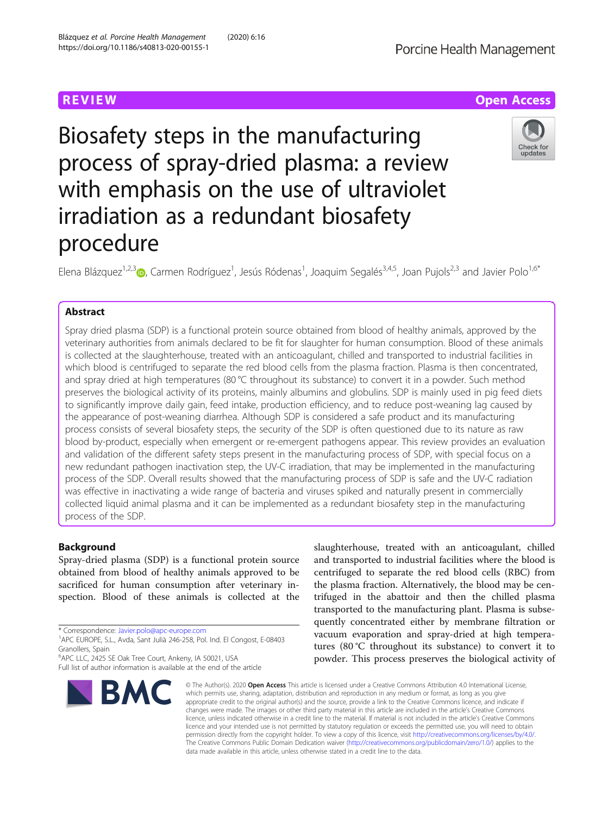**REVIEW ACCESS AND LOCAL CONTRACT CONTRACT OF ACCESS** 

Check for updates

# Biosafety steps in the manufacturing process of spray-dried plasma: a review with emphasis on the use of ultraviolet irradiation as a redundant biosafety procedure

Elena Blázquez<sup>1,2,[3](http://orcid.org/0000-0001-8115-3225)</sup> (D, Carmen Rodríguez<sup>1</sup>, Jesús Ródenas<sup>1</sup>, Joaquim Segalés<sup>3,4,5</sup>, Joan Pujols<sup>2,3</sup> and Javier Polo<sup>1,6\*</sup>

# Abstract

Spray dried plasma (SDP) is a functional protein source obtained from blood of healthy animals, approved by the veterinary authorities from animals declared to be fit for slaughter for human consumption. Blood of these animals is collected at the slaughterhouse, treated with an anticoagulant, chilled and transported to industrial facilities in which blood is centrifuged to separate the red blood cells from the plasma fraction. Plasma is then concentrated, and spray dried at high temperatures (80 °C throughout its substance) to convert it in a powder. Such method preserves the biological activity of its proteins, mainly albumins and globulins. SDP is mainly used in pig feed diets to significantly improve daily gain, feed intake, production efficiency, and to reduce post-weaning lag caused by the appearance of post-weaning diarrhea. Although SDP is considered a safe product and its manufacturing process consists of several biosafety steps, the security of the SDP is often questioned due to its nature as raw blood by-product, especially when emergent or re-emergent pathogens appear. This review provides an evaluation and validation of the different safety steps present in the manufacturing process of SDP, with special focus on a new redundant pathogen inactivation step, the UV-C irradiation, that may be implemented in the manufacturing process of the SDP. Overall results showed that the manufacturing process of SDP is safe and the UV-C radiation was effective in inactivating a wide range of bacteria and viruses spiked and naturally present in commercially collected liquid animal plasma and it can be implemented as a redundant biosafety step in the manufacturing process of the SDP.

# Background

Spray-dried plasma (SDP) is a functional protein source obtained from blood of healthy animals approved to be sacrificed for human consumption after veterinary inspection. Blood of these animals is collected at the

<sup>6</sup> APC LLC, 2425 SE Oak Tree Court, Ankeny, IA 50021, USA Full list of author information is available at the end of the article



slaughterhouse, treated with an anticoagulant, chilled and transported to industrial facilities where the blood is centrifuged to separate the red blood cells (RBC) from the plasma fraction. Alternatively, the blood may be centrifuged in the abattoir and then the chilled plasma transported to the manufacturing plant. Plasma is subsequently concentrated either by membrane filtration or vacuum evaporation and spray-dried at high temperatures (80 °C throughout its substance) to convert it to powder. This process preserves the biological activity of

© The Author(s), 2020 **Open Access** This article is licensed under a Creative Commons Attribution 4.0 International License, which permits use, sharing, adaptation, distribution and reproduction in any medium or format, as long as you give appropriate credit to the original author(s) and the source, provide a link to the Creative Commons licence, and indicate if changes were made. The images or other third party material in this article are included in the article's Creative Commons licence, unless indicated otherwise in a credit line to the material. If material is not included in the article's Creative Commons licence and your intended use is not permitted by statutory regulation or exceeds the permitted use, you will need to obtain permission directly from the copyright holder. To view a copy of this licence, visit [http://creativecommons.org/licenses/by/4.0/.](http://creativecommons.org/licenses/by/4.0/) The Creative Commons Public Domain Dedication waiver [\(http://creativecommons.org/publicdomain/zero/1.0/](http://creativecommons.org/publicdomain/zero/1.0/)) applies to the data made available in this article, unless otherwise stated in a credit line to the data.

<sup>\*</sup> Correspondence: [Javier.polo@apc-europe.com](mailto:Javier.polo@apc-europe.com) <sup>1</sup>

APC EUROPE, S.L., Avda, Sant Julià 246-258, Pol. Ind. El Congost, E-08403 Granollers, Spain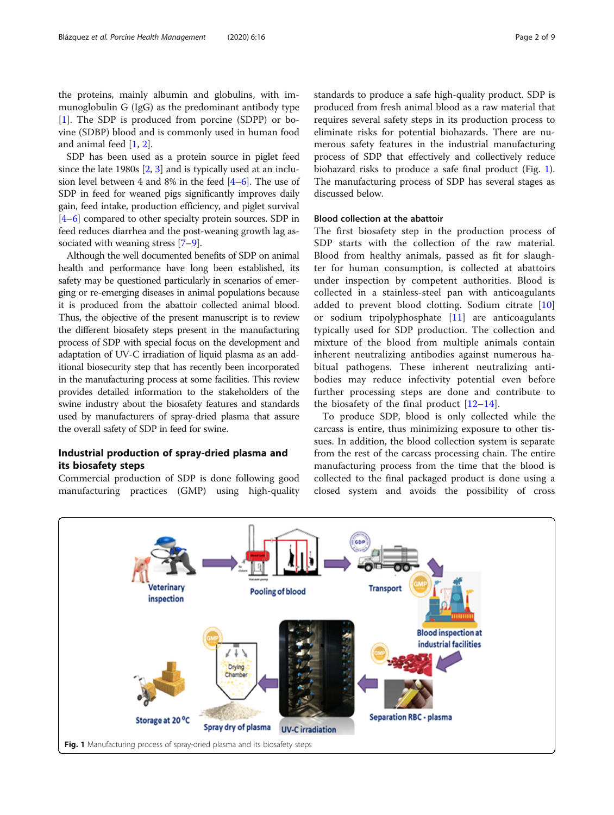the proteins, mainly albumin and globulins, with immunoglobulin G (IgG) as the predominant antibody type [[1\]](#page-6-0). The SDP is produced from porcine (SDPP) or bovine (SDBP) blood and is commonly used in human food and animal feed [\[1](#page-6-0), [2\]](#page-6-0).

SDP has been used as a protein source in piglet feed since the late 1980s [[2,](#page-6-0) [3](#page-6-0)] and is typically used at an inclusion level between 4 and 8% in the feed  $[4-6]$  $[4-6]$  $[4-6]$ . The use of SDP in feed for weaned pigs significantly improves daily gain, feed intake, production efficiency, and piglet survival [[4](#page-6-0)–[6](#page-6-0)] compared to other specialty protein sources. SDP in feed reduces diarrhea and the post-weaning growth lag associated with weaning stress [\[7](#page-6-0)–[9\]](#page-6-0).

Although the well documented benefits of SDP on animal health and performance have long been established, its safety may be questioned particularly in scenarios of emerging or re-emerging diseases in animal populations because it is produced from the abattoir collected animal blood. Thus, the objective of the present manuscript is to review the different biosafety steps present in the manufacturing process of SDP with special focus on the development and adaptation of UV-C irradiation of liquid plasma as an additional biosecurity step that has recently been incorporated in the manufacturing process at some facilities. This review provides detailed information to the stakeholders of the swine industry about the biosafety features and standards used by manufacturers of spray-dried plasma that assure the overall safety of SDP in feed for swine.

# Industrial production of spray-dried plasma and its biosafety steps

Commercial production of SDP is done following good manufacturing practices (GMP) using high-quality

standards to produce a safe high-quality product. SDP is produced from fresh animal blood as a raw material that requires several safety steps in its production process to eliminate risks for potential biohazards. There are numerous safety features in the industrial manufacturing process of SDP that effectively and collectively reduce biohazard risks to produce a safe final product (Fig. 1). The manufacturing process of SDP has several stages as discussed below.

# Blood collection at the abattoir

The first biosafety step in the production process of SDP starts with the collection of the raw material. Blood from healthy animals, passed as fit for slaughter for human consumption, is collected at abattoirs under inspection by competent authorities. Blood is collected in a stainless-steel pan with anticoagulants added to prevent blood clotting. Sodium citrate [\[10](#page-6-0)] or sodium tripolyphosphate [[11\]](#page-6-0) are anticoagulants typically used for SDP production. The collection and mixture of the blood from multiple animals contain inherent neutralizing antibodies against numerous habitual pathogens. These inherent neutralizing antibodies may reduce infectivity potential even before further processing steps are done and contribute to the biosafety of the final product  $[12-14]$  $[12-14]$  $[12-14]$  $[12-14]$ .

To produce SDP, blood is only collected while the carcass is entire, thus minimizing exposure to other tissues. In addition, the blood collection system is separate from the rest of the carcass processing chain. The entire manufacturing process from the time that the blood is collected to the final packaged product is done using a closed system and avoids the possibility of cross

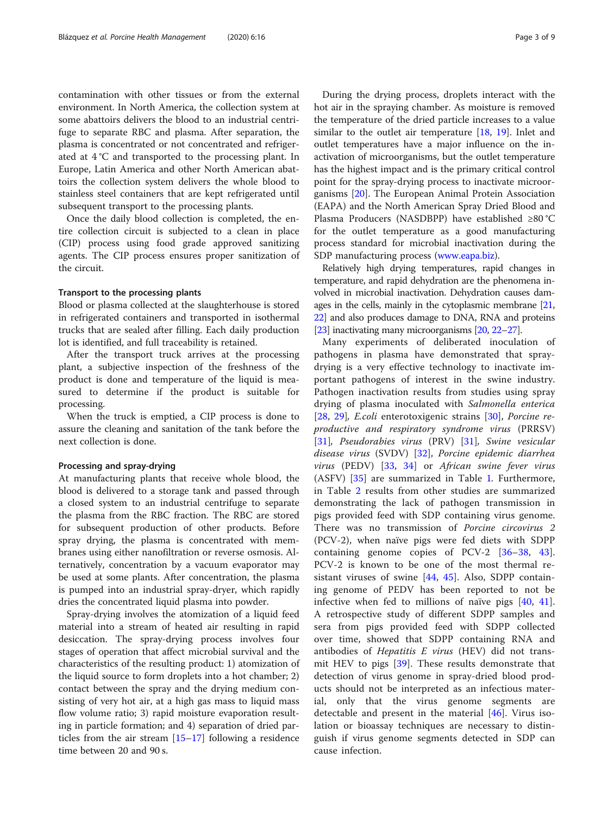contamination with other tissues or from the external environment. In North America, the collection system at some abattoirs delivers the blood to an industrial centrifuge to separate RBC and plasma. After separation, the plasma is concentrated or not concentrated and refrigerated at 4 °C and transported to the processing plant. In Europe, Latin America and other North American abattoirs the collection system delivers the whole blood to stainless steel containers that are kept refrigerated until subsequent transport to the processing plants.

Once the daily blood collection is completed, the entire collection circuit is subjected to a clean in place (CIP) process using food grade approved sanitizing agents. The CIP process ensures proper sanitization of the circuit.

#### Transport to the processing plants

Blood or plasma collected at the slaughterhouse is stored in refrigerated containers and transported in isothermal trucks that are sealed after filling. Each daily production lot is identified, and full traceability is retained.

After the transport truck arrives at the processing plant, a subjective inspection of the freshness of the product is done and temperature of the liquid is measured to determine if the product is suitable for processing.

When the truck is emptied, a CIP process is done to assure the cleaning and sanitation of the tank before the next collection is done.

#### Processing and spray-drying

At manufacturing plants that receive whole blood, the blood is delivered to a storage tank and passed through a closed system to an industrial centrifuge to separate the plasma from the RBC fraction. The RBC are stored for subsequent production of other products. Before spray drying, the plasma is concentrated with membranes using either nanofiltration or reverse osmosis. Alternatively, concentration by a vacuum evaporator may be used at some plants. After concentration, the plasma is pumped into an industrial spray-dryer, which rapidly dries the concentrated liquid plasma into powder.

Spray-drying involves the atomization of a liquid feed material into a stream of heated air resulting in rapid desiccation. The spray-drying process involves four stages of operation that affect microbial survival and the characteristics of the resulting product: 1) atomization of the liquid source to form droplets into a hot chamber; 2) contact between the spray and the drying medium consisting of very hot air, at a high gas mass to liquid mass flow volume ratio; 3) rapid moisture evaporation resulting in particle formation; and 4) separation of dried particles from the air stream [\[15](#page-6-0)–[17\]](#page-7-0) following a residence time between 20 and 90 s.

During the drying process, droplets interact with the hot air in the spraying chamber. As moisture is removed the temperature of the dried particle increases to a value similar to the outlet air temperature  $[18, 19]$  $[18, 19]$  $[18, 19]$  $[18, 19]$ . Inlet and outlet temperatures have a major influence on the inactivation of microorganisms, but the outlet temperature has the highest impact and is the primary critical control point for the spray-drying process to inactivate microorganisms [\[20\]](#page-7-0). The European Animal Protein Association (EAPA) and the North American Spray Dried Blood and Plasma Producers (NASDBPP) have established ≥80 °C for the outlet temperature as a good manufacturing process standard for microbial inactivation during the SDP manufacturing process ([www.eapa.biz\)](http://www.eapa.biz).

Relatively high drying temperatures, rapid changes in temperature, and rapid dehydration are the phenomena involved in microbial inactivation. Dehydration causes damages in the cells, mainly in the cytoplasmic membrane [\[21](#page-7-0), [22](#page-7-0)] and also produces damage to DNA, RNA and proteins [[23](#page-7-0)] inactivating many microorganisms [\[20,](#page-7-0) [22](#page-7-0)–[27\]](#page-7-0).

Many experiments of deliberated inoculation of pathogens in plasma have demonstrated that spraydrying is a very effective technology to inactivate important pathogens of interest in the swine industry. Pathogen inactivation results from studies using spray drying of plasma inoculated with Salmonella enterica [[28,](#page-7-0) [29](#page-7-0)], E.coli enterotoxigenic strains [\[30](#page-7-0)], Porcine reproductive and respiratory syndrome virus (PRRSV) [[31\]](#page-7-0), Pseudorabies virus (PRV) [\[31](#page-7-0)], Swine vesicular disease virus (SVDV) [[32\]](#page-7-0), Porcine epidemic diarrhea virus (PEDV) [[33,](#page-7-0) [34](#page-7-0)] or African swine fever virus (ASFV) [[35\]](#page-7-0) are summarized in Table [1](#page-3-0). Furthermore, in Table [2](#page-3-0) results from other studies are summarized demonstrating the lack of pathogen transmission in pigs provided feed with SDP containing virus genome. There was no transmission of Porcine circovirus 2 (PCV-2), when naïve pigs were fed diets with SDPP containing genome copies of PCV-2 [[36](#page-7-0)–[38,](#page-7-0) [43](#page-7-0)]. PCV-2 is known to be one of the most thermal resistant viruses of swine [\[44](#page-7-0), [45](#page-7-0)]. Also, SDPP containing genome of PEDV has been reported to not be infective when fed to millions of naïve pigs [[40](#page-7-0), [41](#page-7-0)]. A retrospective study of different SDPP samples and sera from pigs provided feed with SDPP collected over time, showed that SDPP containing RNA and antibodies of Hepatitis  $E$  virus (HEV) did not transmit HEV to pigs [[39\]](#page-7-0). These results demonstrate that detection of virus genome in spray-dried blood products should not be interpreted as an infectious material, only that the virus genome segments are detectable and present in the material  $[46]$  $[46]$ . Virus isolation or bioassay techniques are necessary to distinguish if virus genome segments detected in SDP can cause infection.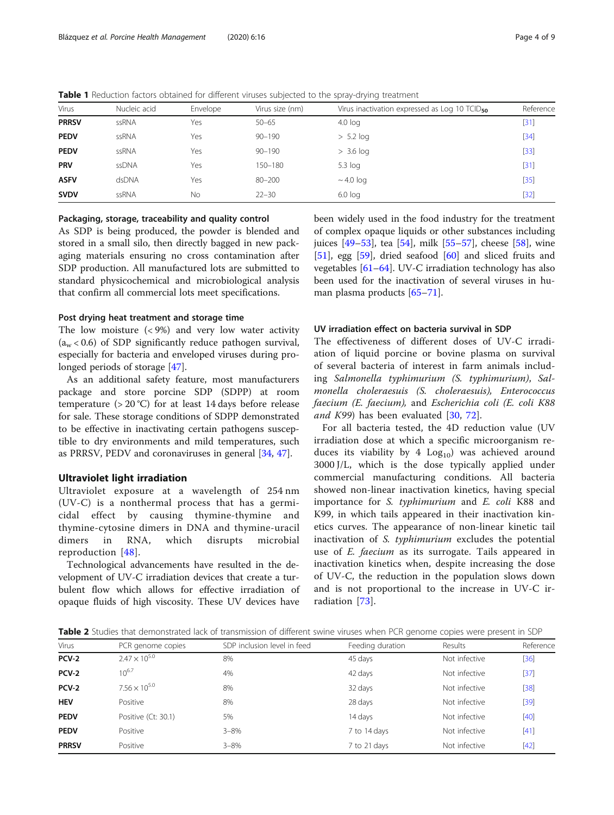<span id="page-3-0"></span>Table 1 Reduction factors obtained for different viruses subjected to the spray-drying treatment

| Virus        | Nucleic acid | Envelope | Virus size (nm) | Virus inactivation expressed as Log 10 TCID <sub>50</sub> | Reference |
|--------------|--------------|----------|-----------------|-----------------------------------------------------------|-----------|
| <b>PRRSV</b> | ssRNA        | Yes      | $50 - 65$       | $4.0$ log                                                 | [31]      |
| <b>PEDV</b>  | ssRNA        | Yes      | $90 - 190$      | $> 5.2$ log                                               | $[34]$    |
| <b>PEDV</b>  | ssRNA        | Yes      | $90 - 190$      | $> 3.6$ log                                               | $[33]$    |
| <b>PRV</b>   | ssDNA        | Yes      | 150-180         | $5.3$ log                                                 | [31]      |
| <b>ASFV</b>  | dsDNA        | Yes      | $80 - 200$      | $\sim$ 4.0 log                                            | $[35]$    |
| <b>SVDV</b>  | ssRNA        | No       | $22 - 30$       | $6.0$ log                                                 | $[32]$    |
|              |              |          |                 |                                                           |           |

### Packaging, storage, traceability and quality control

As SDP is being produced, the powder is blended and stored in a small silo, then directly bagged in new packaging materials ensuring no cross contamination after SDP production. All manufactured lots are submitted to standard physicochemical and microbiological analysis that confirm all commercial lots meet specifications.

#### Post drying heat treatment and storage time

The low moisture  $(< 9\%)$  and very low water activity  $(a_w < 0.6)$  of SDP significantly reduce pathogen survival, especially for bacteria and enveloped viruses during prolonged periods of storage [\[47](#page-7-0)].

As an additional safety feature, most manufacturers package and store porcine SDP (SDPP) at room temperature  $(> 20 °C)$  for at least 14 days before release for sale. These storage conditions of SDPP demonstrated to be effective in inactivating certain pathogens susceptible to dry environments and mild temperatures, such as PRRSV, PEDV and coronaviruses in general [[34,](#page-7-0) [47](#page-7-0)].

# Ultraviolet light irradiation

Ultraviolet exposure at a wavelength of 254 nm (UV-C) is a nonthermal process that has a germicidal effect by causing thymine-thymine and thymine-cytosine dimers in DNA and thymine-uracil dimers in RNA, which disrupts microbial reproduction [\[48\]](#page-7-0).

Technological advancements have resulted in the development of UV-C irradiation devices that create a turbulent flow which allows for effective irradiation of opaque fluids of high viscosity. These UV devices have been widely used in the food industry for the treatment of complex opaque liquids or other substances including juices [[49](#page-7-0)–[53](#page-7-0)], tea [\[54\]](#page-7-0), milk [\[55](#page-7-0)–[57\]](#page-8-0), cheese [\[58](#page-8-0)], wine [[51\]](#page-7-0), egg [\[59\]](#page-8-0), dried seafood [[60\]](#page-8-0) and sliced fruits and vegetables [\[61](#page-8-0)–[64\]](#page-8-0). UV-C irradiation technology has also been used for the inactivation of several viruses in human plasma products [\[65](#page-8-0)–[71\]](#page-8-0).

#### UV irradiation effect on bacteria survival in SDP

The effectiveness of different doses of UV-C irradiation of liquid porcine or bovine plasma on survival of several bacteria of interest in farm animals including Salmonella typhimurium (S. typhimurium), Salmonella choleraesuis (S. choleraesuis), Enterococcus faecium (E. faecium), and Escherichia coli (E. coli K88 and  $K99$ ) has been evaluated [\[30](#page-7-0), [72](#page-8-0)].

For all bacteria tested, the 4D reduction value (UV irradiation dose at which a specific microorganism reduces its viability by 4  $Log_{10}$  was achieved around 3000 J/L, which is the dose typically applied under commercial manufacturing conditions. All bacteria showed non-linear inactivation kinetics, having special importance for S. typhimurium and E. coli K88 and K99, in which tails appeared in their inactivation kinetics curves. The appearance of non-linear kinetic tail inactivation of S. typhimurium excludes the potential use of E. faecium as its surrogate. Tails appeared in inactivation kinetics when, despite increasing the dose of UV-C, the reduction in the population slows down and is not proportional to the increase in UV-C irradiation [\[73](#page-8-0)].

Table 2 Studies that demonstrated lack of transmission of different swine viruses when PCR genome copies were present in SDP

| Virus        | PCR genome copies      | SDP inclusion level in feed | Feeding duration | Results       | Reference |
|--------------|------------------------|-----------------------------|------------------|---------------|-----------|
| <b>PCV-2</b> | $2.47 \times 10^{5.0}$ | 8%                          | 45 days          | Not infective | $[36]$    |
| <b>PCV-2</b> | $10^{6.7}$             | 4%                          | 42 days          | Not infective | $[37]$    |
| <b>PCV-2</b> | $7.56 \times 10^{5.0}$ | 8%                          | 32 days          | Not infective | $[38]$    |
| <b>HEV</b>   | Positive               | 8%                          | 28 days          | Not infective | $[39]$    |
| <b>PEDV</b>  | Positive (Ct: 30.1)    | 5%                          | 14 days          | Not infective | $[40]$    |
| <b>PEDV</b>  | Positive               | $3 - 8\%$                   | 7 to 14 days     | Not infective | $[41]$    |
| <b>PRRSV</b> | Positive               | $3 - 8\%$                   | 7 to 21 days     | Not infective | $[42]$    |
|              |                        |                             |                  |               |           |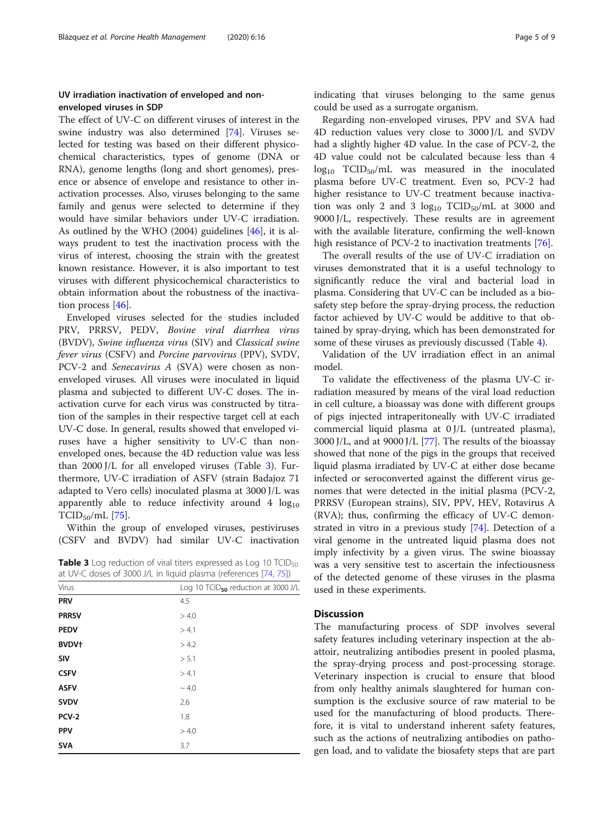# UV irradiation inactivation of enveloped and nonenveloped viruses in SDP

The effect of UV-C on different viruses of interest in the swine industry was also determined [\[74\]](#page-8-0). Viruses selected for testing was based on their different physicochemical characteristics, types of genome (DNA or RNA), genome lengths (long and short genomes), presence or absence of envelope and resistance to other inactivation processes. Also, viruses belonging to the same family and genus were selected to determine if they would have similar behaviors under UV-C irradiation. As outlined by the WHO (2004) guidelines [[46](#page-7-0)], it is always prudent to test the inactivation process with the virus of interest, choosing the strain with the greatest known resistance. However, it is also important to test viruses with different physicochemical characteristics to obtain information about the robustness of the inactivation process [\[46](#page-7-0)].

Enveloped viruses selected for the studies included PRV, PRRSV, PEDV, Bovine viral diarrhea virus (BVDV), Swine influenza virus (SIV) and Classical swine fever virus (CSFV) and Porcine parvovirus (PPV), SVDV, PCV-2 and Senecavirus A (SVA) were chosen as nonenveloped viruses. All viruses were inoculated in liquid plasma and subjected to different UV-C doses. The inactivation curve for each virus was constructed by titration of the samples in their respective target cell at each UV-C dose. In general, results showed that enveloped viruses have a higher sensitivity to UV-C than nonenveloped ones, because the 4D reduction value was less than 2000 J/L for all enveloped viruses (Table 3). Furthermore, UV-C irradiation of ASFV (strain Badajoz 71 adapted to Vero cells) inoculated plasma at 3000 J/L was apparently able to reduce infectivity around 4  $log_{10}$  $TCID_{50}/mL$  [\[75\]](#page-8-0).

Within the group of enveloped viruses, pestiviruses (CSFV and BVDV) had similar UV-C inactivation

**Table 3** Log reduction of viral titers expressed as Log 10 TCID<sub>50</sub> at UV-C doses of 3000 J/L in liquid plasma (references [[74,](#page-8-0) [75](#page-8-0)])

|                   | . .                                             |
|-------------------|-------------------------------------------------|
| Virus             | Log 10 TCID <sub>50</sub> reduction at 3000 J/L |
| PRV               | 4.5                                             |
| <b>PRRSV</b>      | > 4.0                                           |
| <b>PEDV</b>       | > 4.1                                           |
| BVDV <sup>+</sup> | > 4.2                                           |
| SIV               | > 5.1                                           |
| <b>CSFV</b>       | > 4.1                                           |
| <b>ASFV</b>       | $\sim 4.0$                                      |
| <b>SVDV</b>       | 2.6                                             |
| PCV-2             | 1.8                                             |
| <b>PPV</b>        | > 4.0                                           |
| <b>SVA</b>        | 3.7                                             |

indicating that viruses belonging to the same genus could be used as a surrogate organism.

Regarding non-enveloped viruses, PPV and SVA had 4D reduction values very close to 3000 J/L and SVDV had a slightly higher 4D value. In the case of PCV-2, the 4D value could not be calculated because less than 4  $log_{10}$  TCID<sub>50</sub>/mL was measured in the inoculated plasma before UV-C treatment. Even so, PCV-2 had higher resistance to UV-C treatment because inactivation was only 2 and 3  $log_{10}$  TCID<sub>50</sub>/mL at 3000 and 9000 J/L, respectively. These results are in agreement with the available literature, confirming the well-known high resistance of PCV-2 to inactivation treatments [\[76](#page-8-0)].

The overall results of the use of UV-C irradiation on viruses demonstrated that it is a useful technology to significantly reduce the viral and bacterial load in plasma. Considering that UV-C can be included as a biosafety step before the spray-drying process, the reduction factor achieved by UV-C would be additive to that obtained by spray-drying, which has been demonstrated for some of these viruses as previously discussed (Table [4\)](#page-5-0).

Validation of the UV irradiation effect in an animal model.

To validate the effectiveness of the plasma UV-C irradiation measured by means of the viral load reduction in cell culture, a bioassay was done with different groups of pigs injected intraperitoneally with UV-C irradiated commercial liquid plasma at 0 J/L (untreated plasma), 3000 J/L, and at 9000 J/L [[77\]](#page-8-0). The results of the bioassay showed that none of the pigs in the groups that received liquid plasma irradiated by UV-C at either dose became infected or seroconverted against the different virus genomes that were detected in the initial plasma (PCV-2, PRRSV (European strains), SIV, PPV, HEV, Rotavirus A (RVA); thus, confirming the efficacy of UV-C demonstrated in vitro in a previous study [\[74](#page-8-0)]. Detection of a viral genome in the untreated liquid plasma does not imply infectivity by a given virus. The swine bioassay was a very sensitive test to ascertain the infectiousness of the detected genome of these viruses in the plasma used in these experiments.

# **Discussion**

The manufacturing process of SDP involves several safety features including veterinary inspection at the abattoir, neutralizing antibodies present in pooled plasma, the spray-drying process and post-processing storage. Veterinary inspection is crucial to ensure that blood from only healthy animals slaughtered for human consumption is the exclusive source of raw material to be used for the manufacturing of blood products. Therefore, it is vital to understand inherent safety features, such as the actions of neutralizing antibodies on pathogen load, and to validate the biosafety steps that are part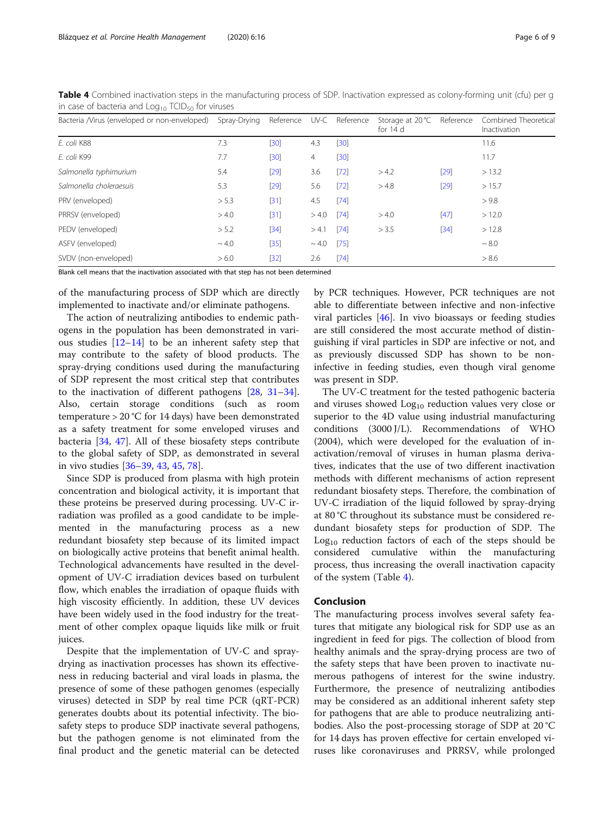| Bacteria /Virus (enveloped or non-enveloped) | Spray-Drying | Reference |            | UV-C Reference | Storage at $20^{\circ}$ C<br>for $14$ d | Reference | Combined Theoretical<br>Inactivation |
|----------------------------------------------|--------------|-----------|------------|----------------|-----------------------------------------|-----------|--------------------------------------|
| E. coli K88                                  | 7.3          | $[30]$    | 4.3        | $[30]$         |                                         |           | 11.6                                 |
| E. coli K99                                  | 7.7          | $[30]$    | 4          | $[30]$         |                                         |           | 11.7                                 |
| Salmonella typhimurium                       | 5.4          | $[29]$    | 3.6        | $[72]$         | > 4.2                                   | [29]      | >13.2                                |
| Salmonella choleraesuis                      | 5.3          | $[29]$    | 5.6        | $[72]$         | > 4.8                                   | $[29]$    | >15.7                                |
| PRV (enveloped)                              | > 5.3        | $[31]$    | 4.5        | [74]           |                                         |           | > 9.8                                |
| PRRSV (enveloped)                            | > 4.0        | $[31]$    | > 4.0      | [74]           | > 4.0                                   | [47]      | >12.0                                |
| PEDV (enveloped)                             | > 5.2        | $[34]$    | > 4.1      | [74]           | > 3.5                                   | $[34]$    | >12.8                                |
| ASFV (enveloped)                             | $\sim 4.0$   | $[35]$    | $\sim$ 4.0 | $[75]$         |                                         |           | $\sim 8.0$                           |
| SVDV (non-enveloped)                         | > 6.0        | $[32]$    | 2.6        | [74]           |                                         |           | > 8.6                                |

<span id="page-5-0"></span>Table 4 Combined inactivation steps in the manufacturing process of SDP. Inactivation expressed as colony-forming unit (cfu) per g in case of bacteria and  $Log<sub>10</sub> TCID<sub>50</sub>$  for viruses

Blank cell means that the inactivation associated with that step has not been determined

of the manufacturing process of SDP which are directly implemented to inactivate and/or eliminate pathogens.

The action of neutralizing antibodies to endemic pathogens in the population has been demonstrated in various studies  $[12-14]$  $[12-14]$  $[12-14]$  $[12-14]$  $[12-14]$  to be an inherent safety step that may contribute to the safety of blood products. The spray-drying conditions used during the manufacturing of SDP represent the most critical step that contributes to the inactivation of different pathogens [[28,](#page-7-0) [31](#page-7-0)–[34](#page-7-0)]. Also, certain storage conditions (such as room temperature > 20 °C for 14 days) have been demonstrated as a safety treatment for some enveloped viruses and bacteria [[34,](#page-7-0) [47\]](#page-7-0). All of these biosafety steps contribute to the global safety of SDP, as demonstrated in several in vivo studies [[36](#page-7-0)–[39](#page-7-0), [43](#page-7-0), [45,](#page-7-0) [78\]](#page-8-0).

Since SDP is produced from plasma with high protein concentration and biological activity, it is important that these proteins be preserved during processing. UV-C irradiation was profiled as a good candidate to be implemented in the manufacturing process as a new redundant biosafety step because of its limited impact on biologically active proteins that benefit animal health. Technological advancements have resulted in the development of UV-C irradiation devices based on turbulent flow, which enables the irradiation of opaque fluids with high viscosity efficiently. In addition, these UV devices have been widely used in the food industry for the treatment of other complex opaque liquids like milk or fruit juices.

Despite that the implementation of UV-C and spraydrying as inactivation processes has shown its effectiveness in reducing bacterial and viral loads in plasma, the presence of some of these pathogen genomes (especially viruses) detected in SDP by real time PCR (qRT-PCR) generates doubts about its potential infectivity. The biosafety steps to produce SDP inactivate several pathogens, but the pathogen genome is not eliminated from the final product and the genetic material can be detected by PCR techniques. However, PCR techniques are not able to differentiate between infective and non-infective viral particles [\[46](#page-7-0)]. In vivo bioassays or feeding studies are still considered the most accurate method of distinguishing if viral particles in SDP are infective or not, and as previously discussed SDP has shown to be noninfective in feeding studies, even though viral genome was present in SDP.

The UV-C treatment for the tested pathogenic bacteria and viruses showed  $Log<sub>10</sub>$  reduction values very close or superior to the 4D value using industrial manufacturing conditions (3000 J/L). Recommendations of WHO (2004), which were developed for the evaluation of inactivation/removal of viruses in human plasma derivatives, indicates that the use of two different inactivation methods with different mechanisms of action represent redundant biosafety steps. Therefore, the combination of UV-C irradiation of the liquid followed by spray-drying at 80 °C throughout its substance must be considered redundant biosafety steps for production of SDP. The  $Log<sub>10</sub>$  reduction factors of each of the steps should be considered cumulative within the manufacturing process, thus increasing the overall inactivation capacity of the system (Table 4).

#### Conclusion

The manufacturing process involves several safety features that mitigate any biological risk for SDP use as an ingredient in feed for pigs. The collection of blood from healthy animals and the spray-drying process are two of the safety steps that have been proven to inactivate numerous pathogens of interest for the swine industry. Furthermore, the presence of neutralizing antibodies may be considered as an additional inherent safety step for pathogens that are able to produce neutralizing antibodies. Also the post-processing storage of SDP at 20 °C for 14 days has proven effective for certain enveloped viruses like coronaviruses and PRRSV, while prolonged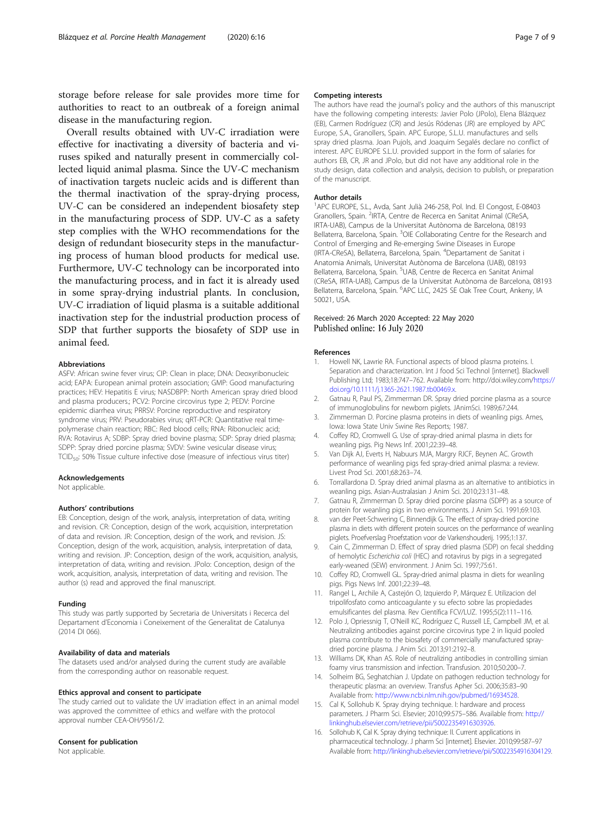<span id="page-6-0"></span>storage before release for sale provides more time for authorities to react to an outbreak of a foreign animal disease in the manufacturing region.

Overall results obtained with UV-C irradiation were effective for inactivating a diversity of bacteria and viruses spiked and naturally present in commercially collected liquid animal plasma. Since the UV-C mechanism of inactivation targets nucleic acids and is different than the thermal inactivation of the spray-drying process, UV-C can be considered an independent biosafety step in the manufacturing process of SDP. UV-C as a safety step complies with the WHO recommendations for the design of redundant biosecurity steps in the manufacturing process of human blood products for medical use. Furthermore, UV-C technology can be incorporated into the manufacturing process, and in fact it is already used in some spray-drying industrial plants. In conclusion, UV-C irradiation of liquid plasma is a suitable additional inactivation step for the industrial production process of SDP that further supports the biosafety of SDP use in animal feed.

#### Abbreviations

ASFV: African swine fever virus; CIP: Clean in place; DNA: Deoxyribonucleic acid; EAPA: European animal protein association; GMP: Good manufacturing practices; HEV: Hepatitis E virus; NASDBPP: North American spray dried blood and plasma producers.; PCV2: Porcine circovirus type 2; PEDV: Porcine epidemic diarrhea virus; PRRSV: Porcine reproductive and respiratory syndrome virus; PRV: Pseudorabies virus; qRT-PCR: Quantitative real timepolymerase chain reaction; RBC: Red blood cells; RNA: Ribonucleic acid; RVA: Rotavirus A; SDBP: Spray dried bovine plasma; SDP: Spray dried plasma; SDPP: Spray dried porcine plasma; SVDV: Swine vesicular disease virus; TCID<sub>50</sub>: 50% Tissue culture infective dose (measure of infectious virus titer)

#### Acknowledgements

Not applicable.

#### Authors' contributions

EB: Conception, design of the work, analysis, interpretation of data, writing and revision. CR: Conception, design of the work, acquisition, interpretation of data and revision. JR: Conception, design of the work, and revision. JS: Conception, design of the work, acquisition, analysis, interpretation of data, writing and revision. JP: Conception, design of the work, acquisition, analysis, interpretation of data, writing and revision. JPolo: Conception, design of the work, acquisition, analysis, interpretation of data, writing and revision. The author (s) read and approved the final manuscript.

#### Funding

This study was partly supported by Secretaria de Universitats i Recerca del Departament d'Economia i Coneixement of the Generalitat de Catalunya (2014 DI 066).

#### Availability of data and materials

The datasets used and/or analysed during the current study are available from the corresponding author on reasonable request.

#### Ethics approval and consent to participate

The study carried out to validate the UV irradiation effect in an animal model was approved the committee of ethics and welfare with the protocol approval number CEA-OH/9561/2.

#### Consent for publication

Not applicable.

#### Competing interests

The authors have read the journal's policy and the authors of this manuscript have the following competing interests: Javier Polo (JPolo), Elena Blázquez (EB), Carmen Rodríguez (CR) and Jesús Ródenas (JR) are employed by APC Europe, S.A., Granollers, Spain. APC Europe, S.L.U. manufactures and sells spray dried plasma. Joan Pujols, and Joaquim Segalés declare no conflict of interest. APC EUROPE S.L.U. provided support in the form of salaries for authors EB, CR, JR and JPolo, but did not have any additional role in the study design, data collection and analysis, decision to publish, or preparation of the manuscript.

#### Author details

1 APC EUROPE, S.L., Avda, Sant Julià 246-258, Pol. Ind. El Congost, E-08403 Granollers, Spain. <sup>2</sup>IRTA, Centre de Recerca en Sanitat Animal (CReSA, IRTA-UAB), Campus de la Universitat Autònoma de Barcelona, 08193 Bellaterra, Barcelona, Spain. <sup>3</sup>OIE Collaborating Centre for the Research and Control of Emerging and Re-emerging Swine Diseases in Europe (IRTA-CReSA), Bellaterra, Barcelona, Spain. <sup>4</sup>Departament de Sanitat i Anatomia Animals, Universitat Autònoma de Barcelona (UAB), 08193 Bellaterra, Barcelona, Spain. <sup>5</sup>UAB, Centre de Recerca en Sanitat Animal (CReSA, IRTA-UAB), Campus de la Universitat Autònoma de Barcelona, 08193 Bellaterra, Barcelona, Spain. <sup>6</sup>APC LLC, 2425 SE Oak Tree Court, Ankeny, IA 50021, USA.

#### Received: 26 March 2020 Accepted: 22 May 2020 Published online: 16 July 2020

#### References

- 1. Howell NK, Lawrie RA. Functional aspects of blood plasma proteins. I. Separation and characterization. Int J food Sci Technol [internet]. Blackwell Publishing Ltd; 1983;18:747–762. Available from: http://doi.wiley.com/[https://](https://doi.org/10.1111/j.1365-2621.1987.tb00469.x) [doi.org/10.1111/j.1365-2621.1987.tb00469.x.](https://doi.org/10.1111/j.1365-2621.1987.tb00469.x)
- 2. Gatnau R, Paul PS, Zimmerman DR. Spray dried porcine plasma as a source of immunoglobulins for newborn piglets. JAnimSci. 1989;67:244.
- Zimmerman D. Porcine plasma proteins in diets of weanling pigs. Ames, Iowa: Iowa State Univ Swine Res Reports; 1987.
- 4. Coffey RD, Cromwell G. Use of spray-dried animal plasma in diets for weanling pigs. Pig News Inf. 2001;22:39–48.
- 5. Van Dijk AJ, Everts H, Nabuurs MJA, Margry RJCF, Beynen AC. Growth performance of weanling pigs fed spray-dried animal plasma: a review. Livest Prod Sci. 2001;68:263–74.
- 6. Torrallardona D. Spray dried animal plasma as an alternative to antibiotics in weanling pigs. Asian-Australasian J Anim Sci. 2010;23:131–48.
- 7. Gatnau R, Zimmerman D. Spray dried porcine plasma (SDPP) as a source of protein for weanling pigs in two environments. J Anim Sci. 1991;69:103.
- 8. van der Peet-Schwering C, Binnendijk G. The effect of spray-dried porcine plasma in diets with different protein sources on the performance of weanling piglets. Proefverslag Proefstation voor de Varkenshouderij. 1995;1:137.
- 9. Cain C, Zimmerman D. Effect of spray dried plasma (SDP) on fecal shedding of hemolytic Escherichia coli (HEC) and rotavirus by pigs in a segregated early-weaned (SEW) environment. J Anim Sci. 1997;75:61.
- 10. Coffey RD, Cromwell GL. Spray-dried animal plasma in diets for weanling pigs. Pigs News Inf. 2001;22:39–48.
- 11. Rangel L, Archile A, Castejón O, Izquierdo P, Márquez E. Utilizacion del tripolifosfato como anticoagulante y su efecto sobre las propiedades emulsificantes del plasma. Rev Científica FCV/LUZ. 1995;5(2):111–116.
- 12. Polo J, Opriessnig T, O'Neill KC, Rodríguez C, Russell LE, Campbell JM, et al. Neutralizing antibodies against porcine circovirus type 2 in liquid pooled plasma contribute to the biosafety of commercially manufactured spraydried porcine plasma. J Anim Sci. 2013;91:2192–8.
- 13. Williams DK, Khan AS. Role of neutralizing antibodies in controlling simian foamy virus transmission and infection. Transfusion. 2010;50:200–7.
- 14. Solheim BG, Seghatchian J. Update on pathogen reduction technology for therapeutic plasma: an overview. Transfus Apher Sci. 2006;35:83–90 Available from: <http://www.ncbi.nlm.nih.gov/pubmed/16934528>.
- 15. Cal K, Sollohub K. Spray drying technique. I: hardware and process parameters. J Pharm Sci. Elsevier; 2010;99:575–586. Available from: [http://](http://linkinghub.elsevier.com/retrieve/pii/S0022354916304129) [linkinghub.elsevier.com/retrieve/pii/S0022354916303926](http://linkinghub.elsevier.com/retrieve/pii/S0022354916304129).
- 16. Sollohub K, Cal K. Spray drying technique: II. Current applications in pharmaceutical technology. J pharm Sci [internet]. Elsevier. 2010;99:587–97 Available from: [http://linkinghub.elsevier.com/retrieve/pii/S0022354916304129.](http://linkinghub.elsevier.com/retrieve/pii/S0022354916304129)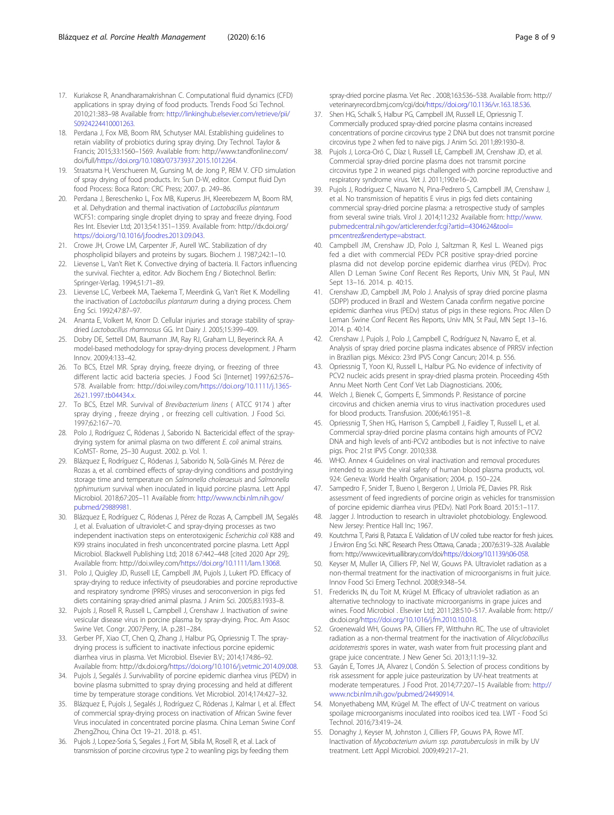- <span id="page-7-0"></span>17. Kuriakose R, Anandharamakrishnan C. Computational fluid dynamics (CFD) applications in spray drying of food products. Trends Food Sci Technol. 2010;21:383–98 Available from: [http://linkinghub.elsevier.com/retrieve/pii/](http://linkinghub.elsevier.com/retrieve/pii/S0924224410001263) S0924224410001263
- 18. Perdana J, Fox MB, Boom RM, Schutyser MAI. Establishing guidelines to retain viability of probiotics during spray drying. Dry Technol. Taylor & Francis; 2015;33:1560–1569. Available from: http://www.tandfonline.com/ doi/full[/https://doi.org/10.1080/07373937.2015.1012264.](https://doi.org/10.1080/07373937.2015.1012264)
- 19. Straatsma H, Verschueren M, Gunsing M, de Jong P, REM V. CFD simulation of spray drying of food products. In: Sun D-W, editor. Comput fluid Dyn food Process: Boca Raton: CRC Press; 2007. p. 249–86.
- 20. Perdana J, Bereschenko L, Fox MB, Kuperus JH, Kleerebezem M, Boom RM, et al. Dehydration and thermal inactivation of Lactobacillus plantarum WCFS1: comparing single droplet drying to spray and freeze drying. Food Res Int. Elsevier Ltd; 2013;54:1351–1359. Available from: http://dx.doi.org/ <https://doi.org/10.1016/j.foodres.2013.09.043>.
- 21. Crowe JH, Crowe LM, Carpenter JF, Aurell WC. Stabilization of dry phospholipid bilayers and proteins by sugars. Biochem J. 1987;242:1–10.
- 22. Lievense L, Van't Riet K. Convective drying of bacteria. II. Factors influencing the survival. Fiechter a, editor. Adv Biochem Eng / Biotechnol. Berlin: Springer-Verlag. 1994;51:71–89.
- 23. Lievense LC, Verbeek MA, Taekema T, Meerdink G, Van't Riet K. Modelling the inactivation of Lactobacillus plantarum during a drying process. Chem Eng Sci. 1992;47:87–97.
- 24. Ananta E, Volkert M, Knorr D. Cellular injuries and storage stability of spraydried Lactobacillus rhamnosus GG. Int Dairy J. 2005;15:399–409.
- 25. Dobry DE, Settell DM, Baumann JM, Ray RJ, Graham LJ, Beyerinck RA. A model-based methodology for spray-drying process development. J Pharm Innov. 2009;4:133–42.
- 26. To BCS, Etzel MR. Spray drying, freeze drying, or freezing of three different lactic acid bacteria species. J Food Sci [Internet] 1997;62:576– 578. Available from: http://doi.wiley.com/[https://doi.org/10.1111/j.1365-](https://doi.org/10.1111/j.1365-2621.1997.tb04434.x) 2621.1997.tb04434x
- 27. To BCS, Etzel MR. Survival of Brevibacterium linens ( ATCC 9174 ) after spray drying , freeze drying , or freezing cell cultivation. J Food Sci. 1997;62:167–70.
- 28. Polo J, Rodríguez C, Ródenas J, Saborido N. Bactericidal effect of the spraydrying system for animal plasma on two different E. coli animal strains. ICoMST- Rome, 25–30 August. 2002. p. Vol. 1.
- 29. Blázquez E, Rodríguez C, Ródenas J, Saborido N, Solà-Ginés M. Pérez de Rozas a, et al. combined effects of spray-drying conditions and postdrying storage time and temperature on Salmonella choleraesuis and Salmonella typhimurium survival when inoculated in liquid porcine plasma. Lett Appl Microbiol. 2018;67:205–11 Available from: [http://www.ncbi.nlm.nih.gov/](http://www.ncbi.nlm.nih.gov/pubmed/29889981) [pubmed/29889981.](http://www.ncbi.nlm.nih.gov/pubmed/29889981)
- 30. Blázquez E, Rodríguez C, Ródenas J, Pérez de Rozas A, Campbell JM, Segalés J, et al. Evaluation of ultraviolet-C and spray-drying processes as two independent inactivation steps on enterotoxigenic Escherichia coli K88 and K99 strains inoculated in fresh unconcentrated porcine plasma. Lett Appl Microbiol. Blackwell Publishing Ltd; 2018 67:442–448 [cited 2020 Apr 29];. Available from: http://doi.wiley.com[/https://doi.org/10.1111/lam.13068](https://doi.org/10.1111/lam.13068).
- 31. Polo J, Quigley JD, Russell LE, Campbell JM, Pujols J, Lukert PD. Efficacy of spray-drying to reduce infectivity of pseudorabies and porcine reproductive and respiratory syndrome (PRRS) viruses and seroconversion in pigs fed diets containing spray-dried animal plasma. J Anim Sci. 2005;83:1933–8.
- 32. Pujols J, Rosell R, Russell L, Campbell J, Crenshaw J. Inactivation of swine vesicular disease virus in porcine plasma by spray-drying. Proc. Am Assoc Swine Vet. Congr. 2007;Perry, IA. p.281–284.
- 33. Gerber PF, Xiao CT, Chen Q, Zhang J, Halbur PG, Opriessnig T. The spraydrying process is sufficient to inactivate infectious porcine epidemic diarrhea virus in plasma. Vet Microbiol. Elsevier B.V.; 2014;174:86–92. Available from: http://dx.doi.org/[https://doi.org/10.1016/j.vetmic.2014.09.008.](https://doi.org/10.1016/j.vetmic.2014.09.008)
- 34. Pujols J, Segalés J. Survivability of porcine epidemic diarrhea virus (PEDV) in bovine plasma submitted to spray drying processing and held at different time by temperature storage conditions. Vet Microbiol. 2014;174:427–32.
- 35. Blázquez E, Pujols J, Segalés J, Rodríguez C, Ródenas J, Kalmar I, et al. Effect of commercial spray-drying process on inactivation of African Swine fever Virus inoculated in concentrated porcine plasma. China Leman Swine Conf ZhengZhou, China Oct 19–21. 2018. p. 451.
- 36. Pujols J, Lopez-Soria S, Segales J, Fort M, Sibila M, Rosell R, et al. Lack of transmission of porcine circovirus type 2 to weanling pigs by feeding them

spray-dried porcine plasma. Vet Rec . 2008;163:536–538. Available from: http:// veterinaryrecord.bmj.com/cgi/doi[/https://doi.org/10.1136/vr.163.18.536](https://doi.org/10.1136/vr.163.18.536).

- 37. Shen HG, Schalk S, Halbur PG, Campbell JM, Russell LE, Opriessnig T. Commercially produced spray-dried porcine plasma contains increased concentrations of porcine circovirus type 2 DNA but does not transmit porcine circovirus type 2 when fed to naive pigs. J Anim Sci. 2011;89:1930–8.
- 38. Pujols J, Lorca-Oró C, Díaz I, Russell LE, Campbell JM, Crenshaw JD, et al. Commercial spray-dried porcine plasma does not transmit porcine circovirus type 2 in weaned pigs challenged with porcine reproductive and respiratory syndrome virus. Vet J. 2011;190:e16–20.
- 39. Pujols J, Rodríguez C, Navarro N, Pina-Pedrero S, Campbell JM, Crenshaw J, et al. No transmission of hepatitis E virus in pigs fed diets containing commercial spray-dried porcine plasma: a retrospective study of samples from several swine trials. Virol J. 2014;11:232 Available from: [http://www.](http://www.pubmedcentral.nih.gov/articlerender.fcgi?artid=4304624&tool=pmcentrez&rendertype=abstract) [pubmedcentral.nih.gov/articlerender.fcgi?artid=4304624&tool=](http://www.pubmedcentral.nih.gov/articlerender.fcgi?artid=4304624&tool=pmcentrez&rendertype=abstract) [pmcentrez&rendertype=abstract.](http://www.pubmedcentral.nih.gov/articlerender.fcgi?artid=4304624&tool=pmcentrez&rendertype=abstract)
- 40. Campbell JM, Crenshaw JD, Polo J, Saltzman R, Kesl L. Weaned pigs fed a diet with commercial PEDv PCR positive spray-dried porcine plasma did not develop porcine epidemic diarrhea virus (PEDv). Proc Allen D Leman Swine Conf Recent Res Reports, Univ MN, St Paul, MN Sept 13–16. 2014. p. 40:15.
- 41. Crenshaw JD, Campbell JM, Polo J. Analysis of spray dried porcine plasma (SDPP) produced in Brazil and Western Canada confirm negative porcine epidemic diarrhea virus (PEDv) status of pigs in these regions. Proc Allen D Leman Swine Conf Recent Res Reports, Univ MN, St Paul, MN Sept 13–16. 2014. p. 40:14.
- 42. Crenshaw J, Pujols J, Polo J, Campbell C, Rodríguez N, Navarro E, et al. Analysis of spray dried porcine plasma indicates absence of PRRSV infection in Brazilian pigs. México: 23rd IPVS Congr Cancun; 2014. p. 556.
- 43. Opriessnig T, Yoon KJ, Russell L, Halbur PG. No evidence of infectivity of PCV2 nucleic acids present in spray-dried plasma protein. Proceeding 45th Annu Meet North Cent Conf Vet Lab Diagnosticians. 2006;.
- 44. Welch J, Bienek C, Gomperts E, Simmonds P. Resistance of porcine circovirus and chicken anemia virus to virus inactivation procedures used for blood products. Transfusion. 2006;46:1951–8.
- 45. Opriessnig T, Shen HG, Harrison S, Campbell J, Faidley T, Russell L, et al. Commercial spray-dried porcine plasma contains high amounts of PCV2 DNA and high levels of anti-PCV2 antibodies but is not infective to naive pigs. Proc 21st IPVS Congr. 2010;338.
- 46. WHO. Annex 4 Guidelines on viral inactivation and removal procedures intended to assure the viral safety of human blood plasma products, vol. 924: Geneva: World Health Organisation; 2004. p. 150–224.
- 47. Sampedro F, Snider T, Bueno I, Bergeron J, Urriola PE, Davies PR. Risk assessment of feed ingredients of porcine origin as vehicles for transmission of porcine epidemic diarrhea virus (PEDv). Natl Pork Board. 2015:1–117.
- 48. Jagger J. Introduction to research in ultraviolet photobiology. Englewood. New Jersey: Prentice Hall Inc; 1967.
- 49. Koutchma T, Parisi B, Patazca E. Validation of UV coiled tube reactor for fresh juices. J Environ Eng Sci. NRC Research Press Ottawa, Canada ; 2007;6:319–328. Available from: http://www.icevirtuallibrary.com/doi[/https://doi.org/10.1139/s06-058](https://doi.org/10.1139/s06-058).
- 50. Keyser M, Muller IA, Cilliers FP, Nel W, Gouws PA. Ultraviolet radiation as a non-thermal treatment for the inactivation of microorganisms in fruit juice. Innov Food Sci Emerg Technol. 2008;9:348–54.
- 51. Fredericks IN, du Toit M, Krügel M. Efficacy of ultraviolet radiation as an alternative technology to inactivate microorganisms in grape juices and wines. Food Microbiol . Elsevier Ltd; 2011;28:510–517. Available from: http:// dx.doi.org[/https://doi.org/10.1016/j.fm.2010.10.018](https://doi.org/10.1016/j.fm.2010.10.018).
- 52. Groenewald WH, Gouws PA, Cilliers FP, Witthuhn RC. The use of ultraviolet radiation as a non-thermal treatment for the inactivation of Alicyclobacillus acidoterrestris spores in water, wash water from fruit processing plant and grape juice concentrate. J New Gener Sci. 2013;11:19–32.
- 53. Gayán E, Torres JA, Alvarez I, Condón S. Selection of process conditions by risk assessment for apple juice pasteurization by UV-heat treatments at moderate temperatures. J Food Prot. 2014;77:207–15 Available from: [http://](http://www.ncbi.nlm.nih.gov/pubmed/24490914) [www.ncbi.nlm.nih.gov/pubmed/24490914.](http://www.ncbi.nlm.nih.gov/pubmed/24490914)
- 54. Monyethabeng MM, Krügel M. The effect of UV-C treatment on various spoilage microorganisms inoculated into rooibos iced tea. LWT - Food Sci Technol. 2016;73:419–24.
- 55. Donaghy J, Keyser M, Johnston J, Cilliers FP, Gouws PA, Rowe MT. Inactivation of Mycobacterium avium ssp. paratuberculosis in milk by UV treatment. Lett Appl Microbiol. 2009;49:217–21.